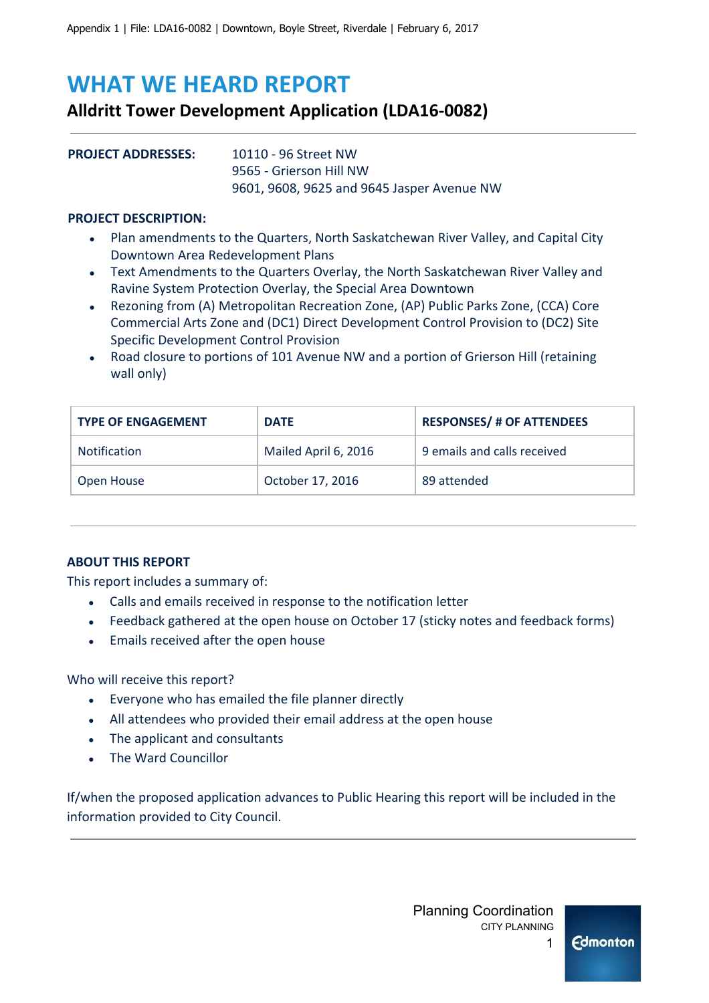# **WHAT WE HEARD REPORT**

## **Alldritt Tower Development Application (LDA16-0082)**

## **PROJECT ADDRESSES:** 10110 - 96 Street NW

9565 - Grierson Hill NW 9601, 9608, 9625 and 9645 Jasper Avenue NW

#### **PROJECT DESCRIPTION:**

- Plan amendments to the Quarters, North Saskatchewan River Valley, and Capital City Downtown Area Redevelopment Plans
- Text Amendments to the Quarters Overlay, the North Saskatchewan River Valley and Ravine System Protection Overlay, the Special Area Downtown
- Rezoning from (A) Metropolitan Recreation Zone, (AP) Public Parks Zone, (CCA) Core Commercial Arts Zone and (DC1) Direct Development Control Provision to (DC2) Site Specific Development Control Provision
- Road closure to portions of 101 Avenue NW and a portion of Grierson Hill (retaining wall only)

| <b>TYPE OF ENGAGEMENT</b> | <b>DATE</b>          | <b>RESPONSES/ # OF ATTENDEES</b> |
|---------------------------|----------------------|----------------------------------|
| Notification              | Mailed April 6, 2016 | 9 emails and calls received      |
| Open House                | October 17, 2016     | 89 attended                      |

#### **ABOUT THIS REPORT**

This report includes a summary of:

- Calls and emails received in response to the notification letter
- Feedback gathered at the open house on October 17 (sticky notes and feedback forms)
- Emails received after the open house

#### Who will receive this report?

- Everyone who has emailed the file planner directly
- All attendees who provided their email address at the open house
- The applicant and consultants
- The Ward Councillor

If/when the proposed application advances to Public Hearing this report will be included in the information provided to City Council.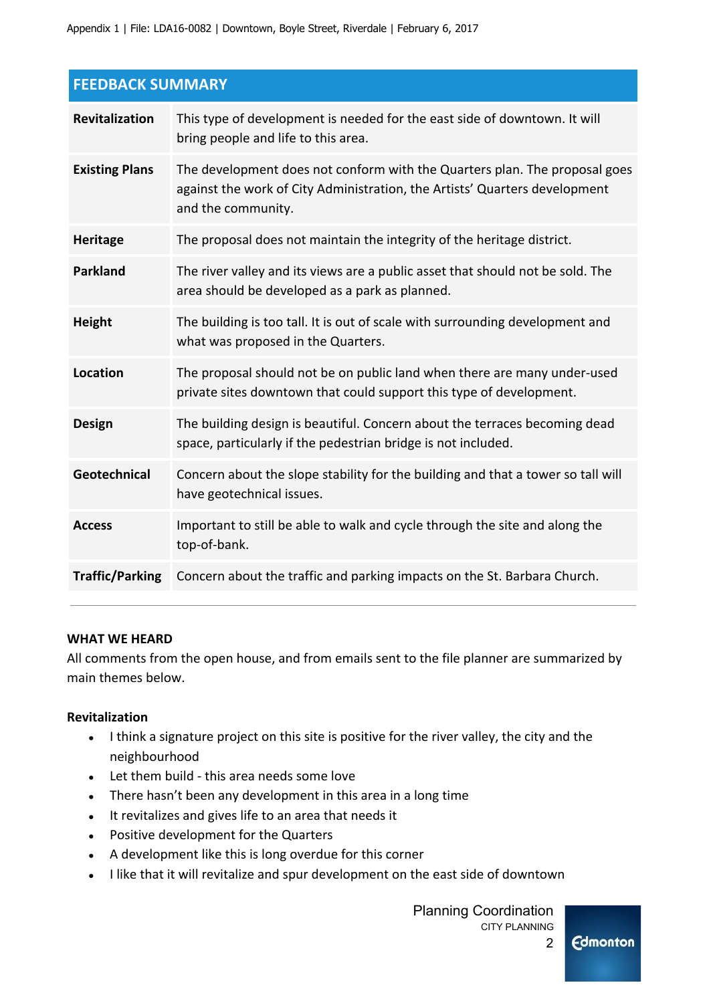| <b>FEEDBACK SUMMARY</b> |                                                                                                                                                                                |  |
|-------------------------|--------------------------------------------------------------------------------------------------------------------------------------------------------------------------------|--|
| <b>Revitalization</b>   | This type of development is needed for the east side of downtown. It will<br>bring people and life to this area.                                                               |  |
| <b>Existing Plans</b>   | The development does not conform with the Quarters plan. The proposal goes<br>against the work of City Administration, the Artists' Quarters development<br>and the community. |  |
| <b>Heritage</b>         | The proposal does not maintain the integrity of the heritage district.                                                                                                         |  |
| <b>Parkland</b>         | The river valley and its views are a public asset that should not be sold. The<br>area should be developed as a park as planned.                                               |  |
| Height                  | The building is too tall. It is out of scale with surrounding development and<br>what was proposed in the Quarters.                                                            |  |
| <b>Location</b>         | The proposal should not be on public land when there are many under-used<br>private sites downtown that could support this type of development.                                |  |
| <b>Design</b>           | The building design is beautiful. Concern about the terraces becoming dead<br>space, particularly if the pedestrian bridge is not included.                                    |  |
| Geotechnical            | Concern about the slope stability for the building and that a tower so tall will<br>have geotechnical issues.                                                                  |  |
| <b>Access</b>           | Important to still be able to walk and cycle through the site and along the<br>top-of-bank.                                                                                    |  |
| <b>Traffic/Parking</b>  | Concern about the traffic and parking impacts on the St. Barbara Church.                                                                                                       |  |

#### **WHAT WE HEARD**

All comments from the open house, and from emails sent to the file planner are summarized by main themes below.

#### **Revitalization**

- I think a signature project on this site is positive for the river valley, the city and the neighbourhood
- Let them build this area needs some love
- There hasn't been any development in this area in a long time
- It revitalizes and gives life to an area that needs it
- Positive development for the Quarters
- A development like this is long overdue for this corner
- I like that it will revitalize and spur development on the east side of downtown

 Planning Coordination CITY PLANNING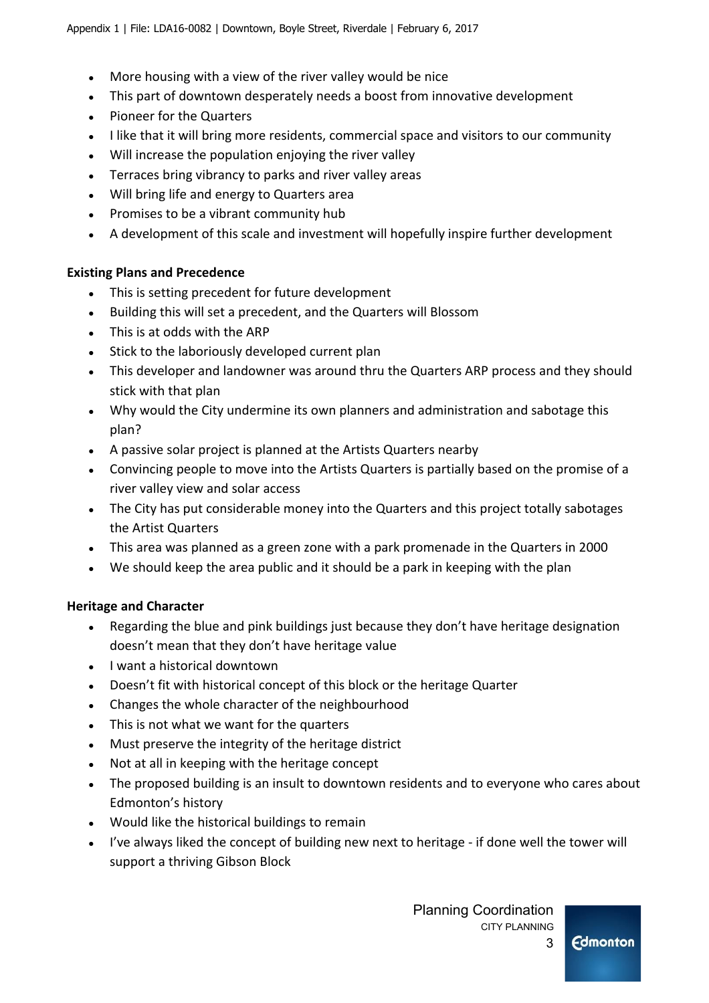- More housing with a view of the river valley would be nice
- This part of downtown desperately needs a boost from innovative development
- Pioneer for the Quarters
- I like that it will bring more residents, commercial space and visitors to our community
- Will increase the population enjoying the river valley
- Terraces bring vibrancy to parks and river valley areas
- Will bring life and energy to Quarters area
- Promises to be a vibrant community hub
- A development of this scale and investment will hopefully inspire further development

#### **Existing Plans and Precedence**

- This is setting precedent for future development
- Building this will set a precedent, and the Quarters will Blossom
- This is at odds with the ARP
- Stick to the laboriously developed current plan
- This developer and landowner was around thru the Quarters ARP process and they should stick with that plan
- Why would the City undermine its own planners and administration and sabotage this plan?
- A passive solar project is planned at the Artists Quarters nearby
- Convincing people to move into the Artists Quarters is partially based on the promise of a river valley view and solar access
- The City has put considerable money into the Quarters and this project totally sabotages the Artist Quarters
- This area was planned as a green zone with a park promenade in the Quarters in 2000
- We should keep the area public and it should be a park in keeping with the plan

#### **Heritage and Character**

- Regarding the blue and pink buildings just because they don't have heritage designation doesn't mean that they don't have heritage value
- I want a historical downtown
- Doesn't fit with historical concept of this block or the heritage Quarter
- Changes the whole character of the neighbourhood
- This is not what we want for the quarters
- Must preserve the integrity of the heritage district
- Not at all in keeping with the heritage concept
- The proposed building is an insult to downtown residents and to everyone who cares about Edmonton's history
- Would like the historical buildings to remain
- I've always liked the concept of building new next to heritage if done well the tower will support a thriving Gibson Block

 Planning Coordination CITY PLANNING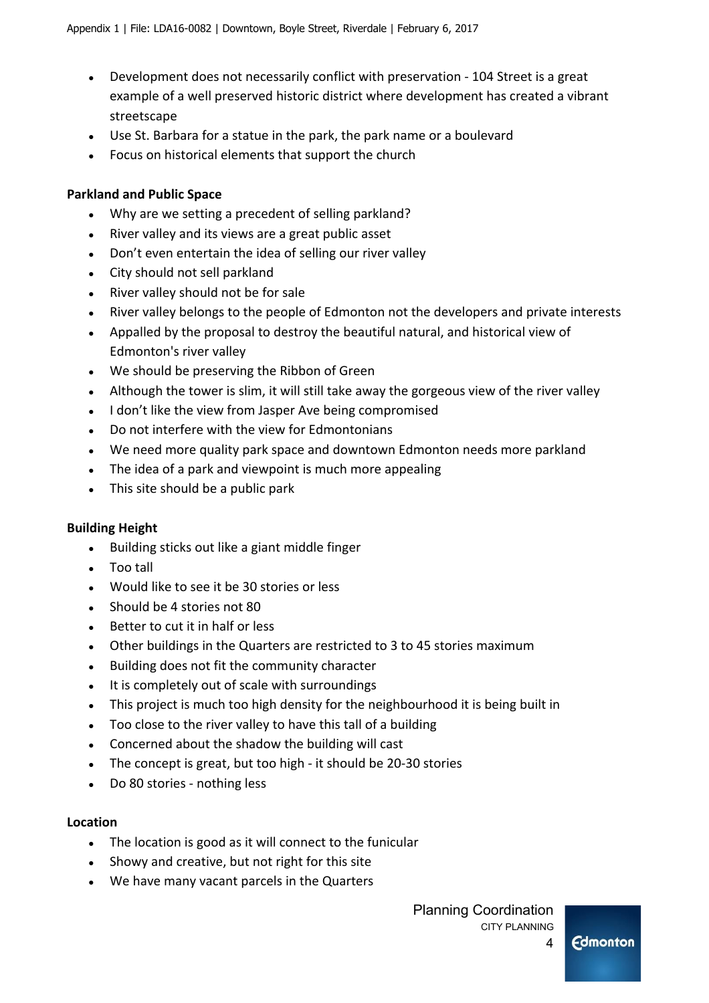- Development does not necessarily conflict with preservation 104 Street is a great example of a well preserved historic district where development has created a vibrant streetscape
- Use St. Barbara for a statue in the park, the park name or a boulevard
- Focus on historical elements that support the church

#### **Parkland and Public Space**

- Why are we setting a precedent of selling parkland?
- River valley and its views are a great public asset
- Don't even entertain the idea of selling our river valley
- City should not sell parkland
- River valley should not be for sale
- River valley belongs to the people of Edmonton not the developers and private interests
- Appalled by the proposal to destroy the beautiful natural, and historical view of Edmonton's river valley
- We should be preserving the Ribbon of Green
- Although the tower is slim, it will still take away the gorgeous view of the river valley
- I don't like the view from Jasper Ave being compromised
- Do not interfere with the view for Edmontonians
- We need more quality park space and downtown Edmonton needs more parkland
- The idea of a park and viewpoint is much more appealing
- This site should be a public park

#### **Building Height**

- Building sticks out like a giant middle finger
- Too tall
- Would like to see it be 30 stories or less
- Should be 4 stories not 80
- Better to cut it in half or less
- Other buildings in the Quarters are restricted to 3 to 45 stories maximum
- Building does not fit the community character
- It is completely out of scale with surroundings
- This project is much too high density for the neighbourhood it is being built in
- Too close to the river valley to have this tall of a building
- Concerned about the shadow the building will cast
- The concept is great, but too high it should be 20-30 stories
- Do 80 stories nothing less

#### **Location**

- The location is good as it will connect to the funicular
- Showy and creative, but not right for this site
- We have many vacant parcels in the Quarters

 Planning Coordination CITY PLANNING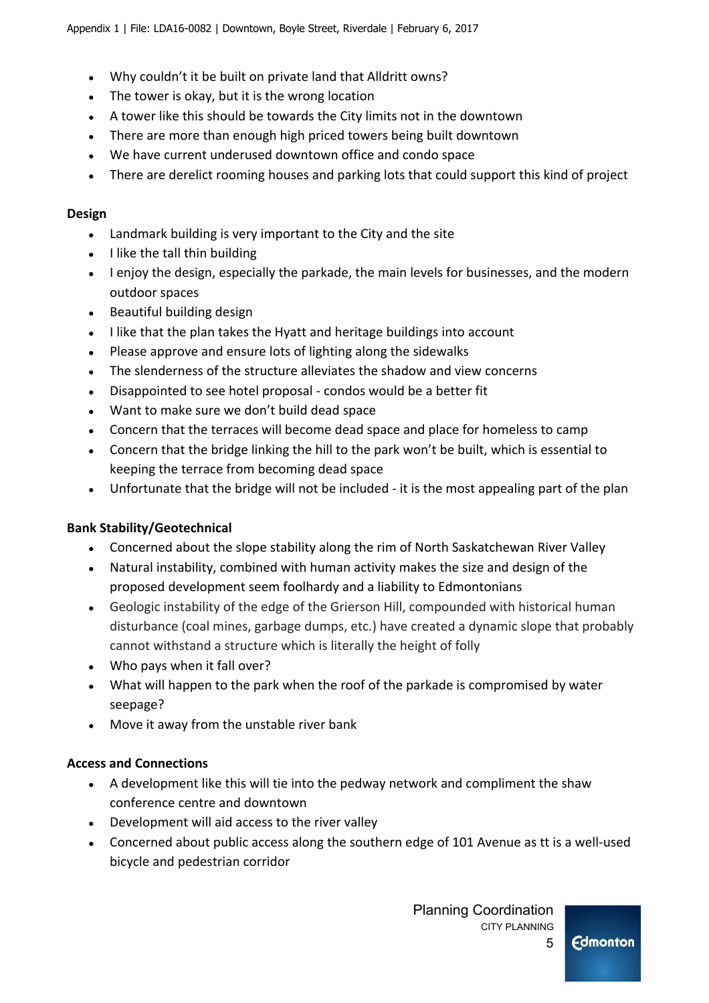- Why couldn't it be built on private land that Alldritt owns?
- The tower is okay, but it is the wrong location
- A tower like this should be towards the City limits not in the downtown
- There are more than enough high priced towers being built downtown
- We have current underused downtown office and condo space
- There are derelict rooming houses and parking lots that could support this kind of project

#### **Design**

- Landmark building is very important to the City and the site
- I like the tall thin building
- I enjoy the design, especially the parkade, the main levels for businesses, and the modern outdoor spaces
- Beautiful building design
- I like that the plan takes the Hyatt and heritage buildings into account
- Please approve and ensure lots of lighting along the sidewalks
- The slenderness of the structure alleviates the shadow and view concerns
- Disappointed to see hotel proposal condos would be a better fit
- Want to make sure we don't build dead space
- Concern that the terraces will become dead space and place for homeless to camp
- Concern that the bridge linking the hill to the park won't be built, which is essential to keeping the terrace from becoming dead space
- Unfortunate that the bridge will not be included it is the most appealing part of the plan

## **Bank Stability/Geotechnical**

- Concerned about the slope stability along the rim of North Saskatchewan River Valley
- Natural instability, combined with human activity makes the size and design of the proposed development seem foolhardy and a liability to Edmontonians
- Geologic instability of the edge of the Grierson Hill, compounded with historical human disturbance (coal mines, garbage dumps, etc.) have created a dynamic slope that probably cannot withstand a structure which is literally the height of folly
- Who pays when it fall over?
- What will happen to the park when the roof of the parkade is compromised by water seepage?
- Move it away from the unstable river bank

## **Access and Connections**

- A development like this will tie into the pedway network and compliment the shaw conference centre and downtown
- Development will aid access to the river valley
- Concerned about public access along the southern edge of 101 Avenue as tt is a well-used bicycle and pedestrian corridor

 Planning Coordination CITY PLANNING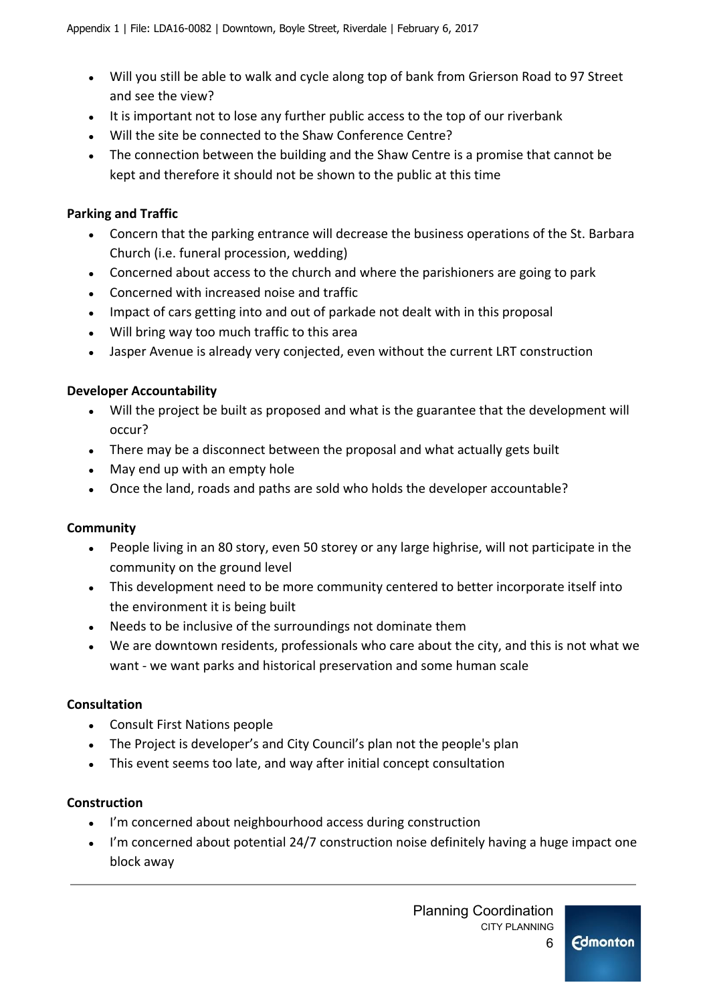- Will you still be able to walk and cycle along top of bank from Grierson Road to 97 Street and see the view?
- It is important not to lose any further public access to the top of our riverbank
- Will the site be connected to the Shaw Conference Centre?
- The connection between the building and the Shaw Centre is a promise that cannot be kept and therefore it should not be shown to the public at this time

## **Parking and Traffic**

- Concern that the parking entrance will decrease the business operations of the St. Barbara Church (i.e. funeral procession, wedding)
- Concerned about access to the church and where the parishioners are going to park
- Concerned with increased noise and traffic
- Impact of cars getting into and out of parkade not dealt with in this proposal
- Will bring way too much traffic to this area
- Jasper Avenue is already very conjected, even without the current LRT construction

## **Developer Accountability**

- Will the project be built as proposed and what is the guarantee that the development will occur?
- There may be a disconnect between the proposal and what actually gets built
- May end up with an empty hole
- Once the land, roads and paths are sold who holds the developer accountable?

## **Community**

- People living in an 80 story, even 50 storey or any large highrise, will not participate in the community on the ground level
- This development need to be more community centered to better incorporate itself into the environment it is being built
- Needs to be inclusive of the surroundings not dominate them
- We are downtown residents, professionals who care about the city, and this is not what we want - we want parks and historical preservation and some human scale

## **Consultation**

- Consult First Nations people
- The Project is developer's and City Council's plan not the people's plan
- This event seems too late, and way after initial concept consultation

## **Construction**

- I'm concerned about neighbourhood access during construction
- I'm concerned about potential 24/7 construction noise definitely having a huge impact one block away